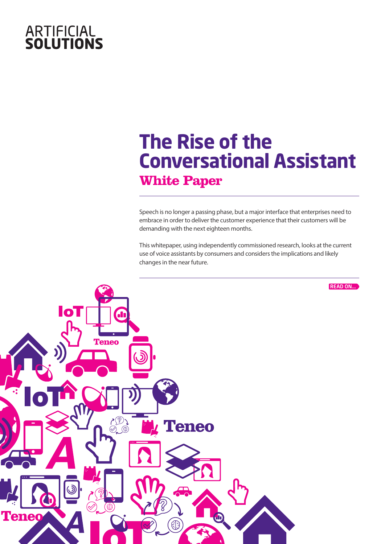# **ARTIFICIAL<br>SOLUTIONS**

## **The Rise of the Conversational Assistant White Paper**

Speech is no longer a passing phase, but a major interface that enterprises need to embrace in order to deliver the customer experience that their customers will be demanding with the next eighteen months.

This whitepaper, using independently commissioned research, looks at the current use of voice assistants by consumers and considers the implications and likely changes in the near future.

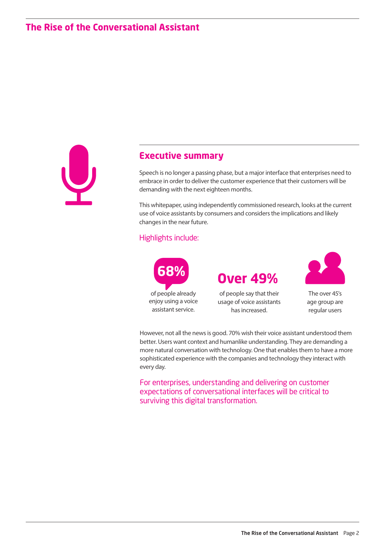

#### **Executive summary**

Speech is no longer a passing phase, but a major interface that enterprises need to embrace in order to deliver the customer experience that their customers will be demanding with the next eighteen months.

This whitepaper, using independently commissioned research, looks at the current use of voice assistants by consumers and considers the implications and likely changes in the near future.

#### Highlights include:



of people say that their **68% Over 49%**



The over 45's age group are regular users

However, not all the news is good. 70% wish their voice assistant understood them better. Users want context and humanlike understanding. They are demanding a more natural conversation with technology. One that enables them to have a more sophisticated experience with the companies and technology they interact with every day.

For enterprises, understanding and delivering on customer expectations of conversational interfaces will be critical to surviving this digital transformation.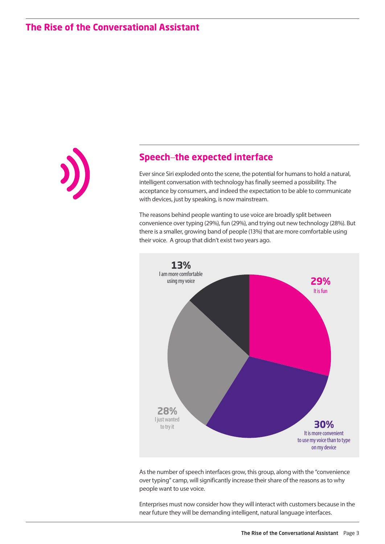

#### **Speech**–**the expected interface**

Ever since Siri exploded onto the scene, the potential for humans to hold a natural, intelligent conversation with technology has finally seemed a possibility. The acceptance by consumers, and indeed the expectation to be able to communicate with devices, just by speaking, is now mainstream.

The reasons behind people wanting to use voice are broadly split between convenience over typing (29%), fun (29%), and trying out new technology (28%). But there is a smaller, growing band of people (13%) that are more comfortable using their voice. A group that didn't exist two years ago.



As the number of speech interfaces grow, this group, along with the "convenience over typing" camp, will significantly increase their share of the reasons as to why people want to use voice.

Enterprises must now consider how they will interact with customers because in the near future they will be demanding intelligent, natural language interfaces.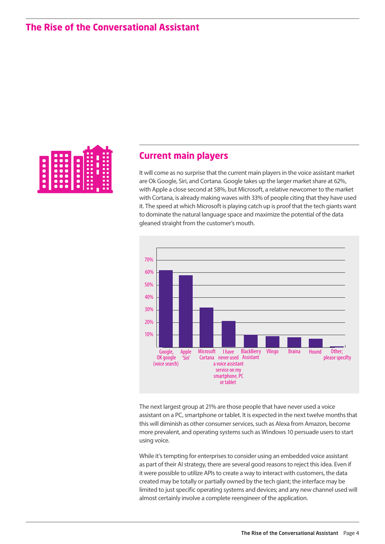

#### **Current main players**

It will come as no surprise that the current main players in the voice assistant market are Ok Google, Siri, and Cortana. Google takes up the larger market share at 62%, with Apple a close second at 58%, but Microsoft, a relative newcomer to the market with Cortana, is already making waves with 33% of people citing that they have used it. The speed at which Microsoft is playing catch up is proof that the tech giants want to dominate the natural language space and maximize the potential of the data gleaned straight from the customer's mouth.



The next largest group at 21% are those people that have never used a voice assistant on a PC, smartphone or tablet. It is expected in the next twelve months that this will diminish as other consumer services, such as Alexa from Amazon, become more prevalent, and operating systems such as Windows 10 persuade users to start using voice.

While it's tempting for enterprises to consider using an embedded voice assistant as part of their AI strategy, there are several good reasons to reject this idea. Even if it were possible to utilize APIs to create a way to interact with customers, the data created may be totally or partially owned by the tech giant; the interface may be limited to just specific operating systems and devices; and any new channel used will almost certainly involve a complete reengineer of the application.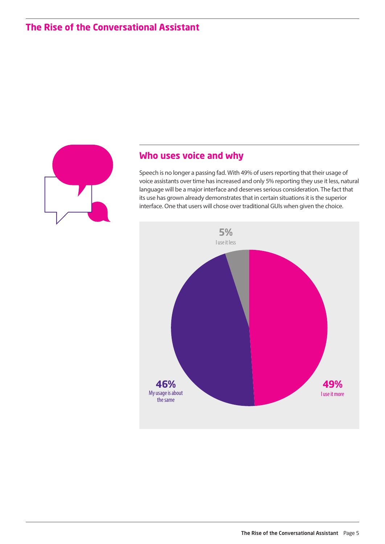

### **Who uses voice and why**

Speech is no longer a passing fad. With 49% of users reporting that their usage of voice assistants over time has increased and only 5% reporting they use it less, natural language will be a major interface and deserves serious consideration. The fact that its use has grown already demonstrates that in certain situations it is the superior interface. One that users will chose over traditional GUIs when given the choice.

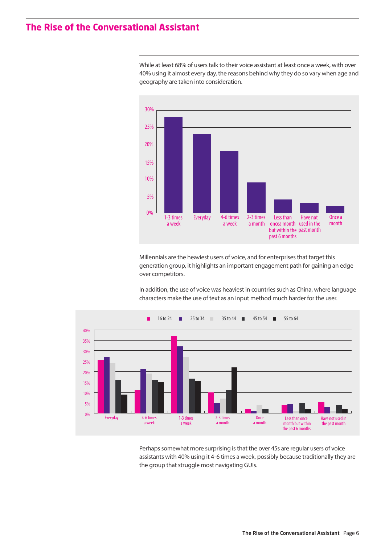0%

1-3 times a week

5%

10%

15%

20%

25% 30%

While at least 68% of users talk to their voice assistant at least once a week, with over 40% using it almost every day, the reasons behind why they do so vary when age and geography are taken into consideration.

Millennials are the heaviest users of voice, and for enterprises that target this generation group, it highlights an important engagement path for gaining an edge over competitors.

2-3 times a month

Less than

past 6 months

oncea month used in the but within the past month

Have not

Once a month

In addition, the use of voice was heaviest in countries such as China, where language characters make the use of text as an input method much harder for the user.



Everyday 4-6 times

a week

Perhaps somewhat more surprising is that the over 45s are regular users of voice assistants with 40% using it 4-6 times a week, possibly because traditionally they are the group that struggle most navigating GUIs.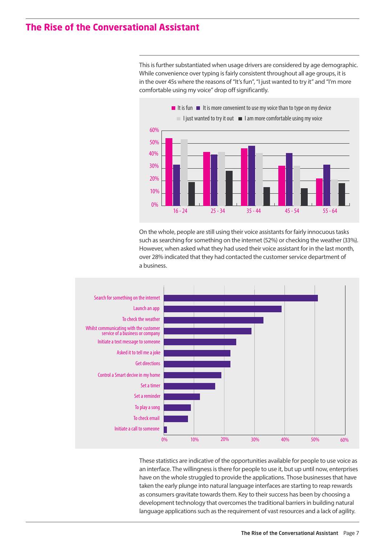This is further substantiated when usage drivers are considered by age demographic. While convenience over typing is fairly consistent throughout all age groups, it is in the over 45s where the reasons of "It's fun", "I just wanted to try it" and "I'm more comfortable using my voice" drop off significantly.



On the whole, people are still using their voice assistants for fairly innocuous tasks such as searching for something on the internet (52%) or checking the weather (33%). However, when asked what they had used their voice assistant for in the last month, over 28% indicated that they had contacted the customer service department of a business.



These statistics are indicative of the opportunities available for people to use voice as an interface. The willingness is there for people to use it, but up until now, enterprises have on the whole struggled to provide the applications. Those businesses that have taken the early plunge into natural language interfaces are starting to reap rewards as consumers gravitate towards them. Key to their success has been by choosing a development technology that overcomes the traditional barriers in building natural language applications such as the requirement of vast resources and a lack of agility.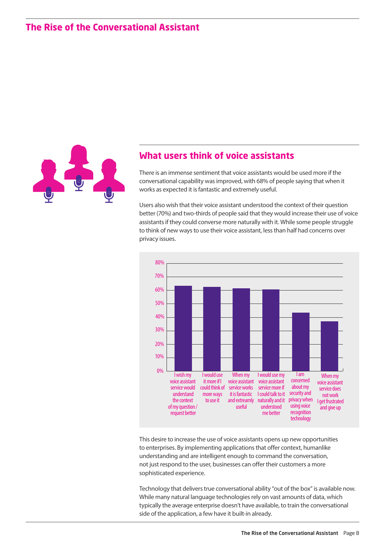

#### **What users think of voice assistants**

There is an immense sentiment that voice assistants would be used more if the conversational capability was improved, with 68% of people saying that when it works as expected it is fantastic and extremely useful.

Users also wish that their voice assistant understood the context of their question better (70%) and two-thirds of people said that they would increase their use of voice assistants if they could converse more naturally with it. While some people struggle to think of new ways to use their voice assistant, less than half had concerns over privacy issues.



This desire to increase the use of voice assistants opens up new opportunities to enterprises. By implementing applications that offer context, humanlike understanding and are intelligent enough to command the conversation, not just respond to the user, businesses can offer their customers a more sophisticated experience.

Technology that delivers true conversational ability "out of the box" is available now. While many natural language technologies rely on vast amounts of data, which typically the average enterprise doesn't have available, to train the conversational side of the application, a few have it built-in already.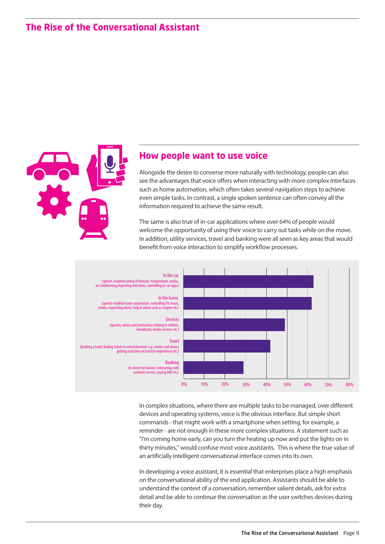

#### **How people want to use voice**

Alongside the desire to converse more naturally with technology, people can also see the advantages that voice offers when interacting with more complex interfaces such as home automation, which often takes several navigation steps to achieve even simple tasks. In contrast, a single spoken sentence can often convey all the information required to achieve the same result.

The same is also true of in-car applications where over 64% of people would welcome the opportunity of using their voice to carry out tasks while on the move. In addition, utility services, travel and banking were all seen as key areas that would benefit from voice interaction to simplify workflow processes.



In complex situations, where there are multiple tasks to be managed, over different devices and operating systems, voice is the obvious interface. But simple short commands - that might work with a smartphone when setting, for example, a reminder - are not enough in these more complex situations. A statement such as "I'm coming home early, can you turn the heating up now and put the lights on in thirty minutes," would confuse most voice assistants. This is where the true value of an artificially intelligent conversational interface comes into its own.

In developing a voice assistant, it is essential that enterprises place a high emphasis on the conversational ability of the end application. Assistants should be able to understand the context of a conversation, remember salient details, ask for extra detail and be able to continue the conversation as the user switches devices during their day.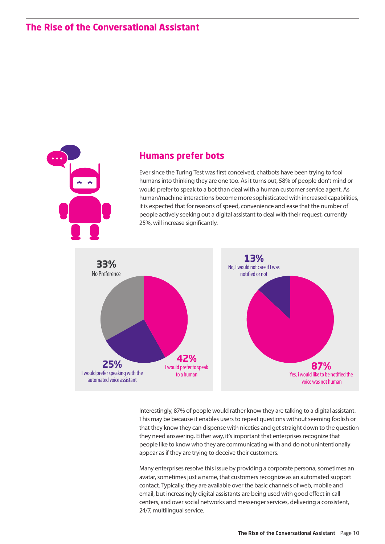

#### **Humans prefer bots**

Ever since the Turing Test was first conceived, chatbots have been trying to fool humans into thinking they are one too. As it turns out, 58% of people don't mind or would prefer to speak to a bot than deal with a human customer service agent. As human/machine interactions become more sophisticated with increased capabilities, it is expected that for reasons of speed, convenience and ease that the number of people actively seeking out a digital assistant to deal with their request, currently 25%, will increase significantly.



Interestingly, 87% of people would rather know they are talking to a digital assistant. This may be because it enables users to repeat questions without seeming foolish or that they know they can dispense with niceties and get straight down to the question they need answering. Either way, it's important that enterprises recognize that people like to know who they are communicating with and do not unintentionally appear as if they are trying to deceive their customers.

Many enterprises resolve this issue by providing a corporate persona, sometimes an avatar, sometimes just a name, that customers recognize as an automated support contact. Typically, they are available over the basic channels of web, mobile and email, but increasingly digital assistants are being used with good effect in call centers, and over social networks and messenger services, delivering a consistent, 24/7, multilingual service.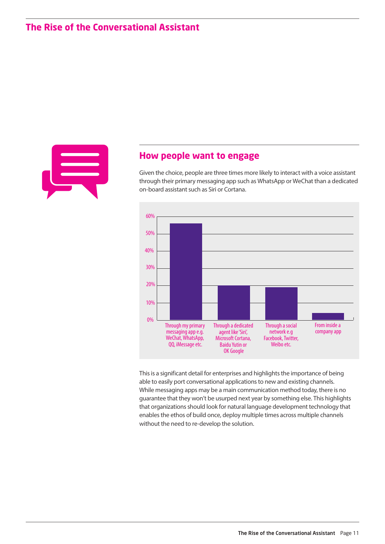

#### **How people want to engage**

Given the choice, people are three times more likely to interact with a voice assistant through their primary messaging app such as WhatsApp or WeChat than a dedicated on-board assistant such as Siri or Cortana.



This is a significant detail for enterprises and highlights the importance of being able to easily port conversational applications to new and existing channels. While messaging apps may be a main communication method today, there is no guarantee that they won't be usurped next year by something else. This highlights that organizations should look for natural language development technology that enables the ethos of build once, deploy multiple times across multiple channels without the need to re-develop the solution.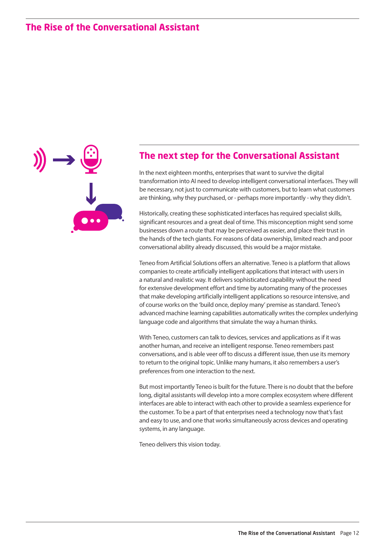

#### **The next step for the Conversational Assistant**

In the next eighteen months, enterprises that want to survive the digital transformation into AI need to develop intelligent conversational interfaces. They will be necessary, not just to communicate with customers, but to learn what customers are thinking, why they purchased, or - perhaps more importantly - why they didn't.

Historically, creating these sophisticated interfaces has required specialist skills, significant resources and a great deal of time. This misconception might send some businesses down a route that may be perceived as easier, and place their trust in the hands of the tech giants. For reasons of data ownership, limited reach and poor conversational ability already discussed, this would be a major mistake.

Teneo from Artificial Solutions offers an alternative. Teneo is a platform that allows companies to create artificially intelligent applications that interact with users in a natural and realistic way. It delivers sophisticated capability without the need for extensive development effort and time by automating many of the processes that make developing artificially intelligent applications so resource intensive, and of course works on the 'build once, deploy many' premise as standard. Teneo's advanced machine learning capabilities automatically writes the complex underlying language code and algorithms that simulate the way a human thinks.

With Teneo, customers can talk to devices, services and applications as if it was another human, and receive an intelligent response. Teneo remembers past conversations, and is able veer off to discuss a different issue, then use its memory to return to the original topic. Unlike many humans, it also remembers a user's preferences from one interaction to the next.

But most importantly Teneo is built for the future. There is no doubt that the before long, digital assistants will develop into a more complex ecosystem where different interfaces are able to interact with each other to provide a seamless experience for the customer. To be a part of that enterprises need a technology now that's fast and easy to use, and one that works simultaneously across devices and operating systems, in any language.

Teneo delivers this vision today.